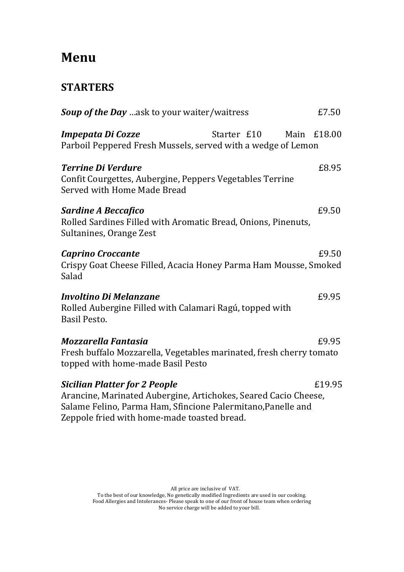# **Menu**

## **STARTERS**

| <b>Soup of the Day</b> ask to your waiter/waitress                                                                                                                                                                     |             | £7.50       |
|------------------------------------------------------------------------------------------------------------------------------------------------------------------------------------------------------------------------|-------------|-------------|
| Impepata Di Cozze<br>Parboil Peppered Fresh Mussels, served with a wedge of Lemon                                                                                                                                      | Starter £10 | Main £18.00 |
| <b>Terrine Di Verdure</b><br>Confit Courgettes, Aubergine, Peppers Vegetables Terrine<br>Served with Home Made Bread                                                                                                   |             | £8.95       |
| <b>Sardine A Beccafico</b><br>Rolled Sardines Filled with Aromatic Bread, Onions, Pinenuts,<br>Sultanines, Orange Zest                                                                                                 |             | £9.50       |
| <b>Caprino Croccante</b><br>Crispy Goat Cheese Filled, Acacia Honey Parma Ham Mousse, Smoked<br>Salad                                                                                                                  |             | £9.50       |
| Involtino Di Melanzane<br>Rolled Aubergine Filled with Calamari Ragú, topped with<br><b>Basil Pesto.</b>                                                                                                               |             | £9.95       |
| Mozzarella Fantasia                                                                                                                                                                                                    |             | £9.95       |
| Fresh buffalo Mozzarella, Vegetables marinated, fresh cherry tomato<br>topped with home-made Basil Pesto                                                                                                               |             |             |
| <b>Sicilian Platter for 2 People</b><br>Arancine, Marinated Aubergine, Artichokes, Seared Cacio Cheese,<br>Salame Felino, Parma Ham, Sfincione Palermitano, Panelle and<br>Zeppole fried with home-made toasted bread. |             | £19.95      |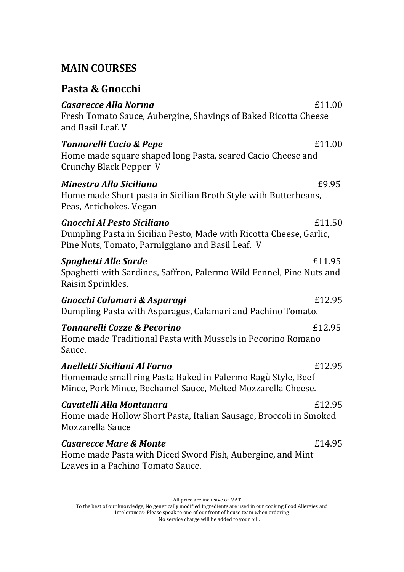## **MAIN COURSES**

| Pasta & Gnocchi                                                                                                                                                       |        |
|-----------------------------------------------------------------------------------------------------------------------------------------------------------------------|--------|
| Casarecce Alla Norma<br>Fresh Tomato Sauce, Aubergine, Shavings of Baked Ricotta Cheese<br>and Basil Leaf. V                                                          | £11.00 |
| <b>Tonnarelli Cacio &amp; Pepe</b><br>Home made square shaped long Pasta, seared Cacio Cheese and<br><b>Crunchy Black Pepper V</b>                                    | £11.00 |
| Minestra Alla Siciliana<br>Home made Short pasta in Sicilian Broth Style with Butterbeans,<br>Peas, Artichokes. Vegan                                                 | £9.95  |
| <b>Gnocchi Al Pesto Siciliano</b><br>Dumpling Pasta in Sicilian Pesto, Made with Ricotta Cheese, Garlic,<br>Pine Nuts, Tomato, Parmiggiano and Basil Leaf. V          | £11.50 |
| Spaghetti Alle Sarde<br>Spaghetti with Sardines, Saffron, Palermo Wild Fennel, Pine Nuts and<br>Raisin Sprinkles.                                                     | £11.95 |
| Gnocchi Calamari & Asparagi<br>Dumpling Pasta with Asparagus, Calamari and Pachino Tomato.                                                                            | £12.95 |
| <b>Tonnarelli Cozze &amp; Pecorino</b><br>Home made Traditional Pasta with Mussels in Pecorino Romano<br>Sauce.                                                       | £12.95 |
| Anelletti Siciliani Al Forno<br>£12.95<br>Homemade small ring Pasta Baked in Palermo Ragù Style, Beef<br>Mince, Pork Mince, Bechamel Sauce, Melted Mozzarella Cheese. |        |
| Cavatelli Alla Montanara<br>Home made Hollow Short Pasta, Italian Sausage, Broccoli in Smoked<br>Mozzarella Sauce                                                     | £12.95 |
| <b>Casarecce Mare &amp; Monte</b><br>Home made Pasta with Diced Sword Fish, Aubergine, and Mint<br>Leaves in a Pachino Tomato Sauce.                                  | £14.95 |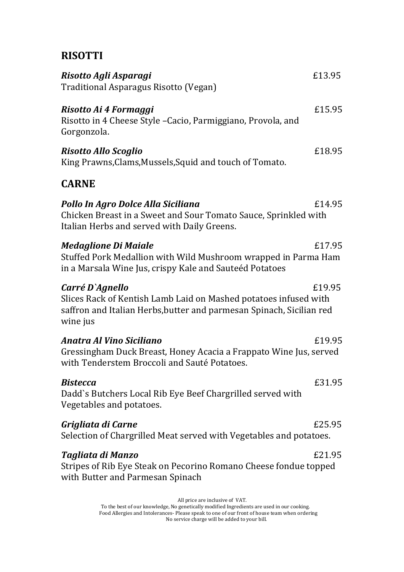## **RISOTTI**

| Risotto Agli Asparagi<br>Traditional Asparagus Risotto (Vegan)                                                                                                          | £13.95 |
|-------------------------------------------------------------------------------------------------------------------------------------------------------------------------|--------|
| Risotto Ai 4 Formaggi<br>Risotto in 4 Cheese Style - Cacio, Parmiggiano, Provola, and<br>Gorgonzola.                                                                    | £15.95 |
| <b>Risotto Allo Scoglio</b><br>King Prawns, Clams, Mussels, Squid and touch of Tomato.                                                                                  | £18.95 |
| <b>CARNE</b>                                                                                                                                                            |        |
| Pollo In Agro Dolce Alla Siciliana<br>Chicken Breast in a Sweet and Sour Tomato Sauce, Sprinkled with<br>Italian Herbs and served with Daily Greens.                    | £14.95 |
| <b>Medaglione Di Maiale</b><br>Stuffed Pork Medallion with Wild Mushroom wrapped in Parma Ham<br>in a Marsala Wine Jus, crispy Kale and Sauteéd Potatoes                | £17.95 |
| Carré D`Agnello<br>Slices Rack of Kentish Lamb Laid on Mashed potatoes infused with<br>saffron and Italian Herbs, butter and parmesan Spinach, Sicilian red<br>wine jus | £19.95 |
| Anatra Al Vino Siciliano<br>Gressingham Duck Breast, Honey Acacia a Frappato Wine Jus, served<br>with Tenderstem Broccoli and Sauté Potatoes.                           | £19.95 |
| <b>Bistecca</b><br>Dadd's Butchers Local Rib Eye Beef Chargrilled served with<br>Vegetables and potatoes.                                                               | £31.95 |
| Grigliata di Carne<br>Selection of Chargrilled Meat served with Vegetables and potatoes.                                                                                | £25.95 |
| Tagliata di Manzo<br>Stripes of Rib Eye Steak on Pecorino Romano Cheese fondue topped<br>with Butter and Parmesan Spinach                                               | £21.95 |
| All price are inclusive of VAT.                                                                                                                                         |        |

To the best of our knowledge, No genetically modified Ingredients are used in our cooking. Food Allergies and Intolerances- Please speak to one of our front of house team when ordering No service charge will be added to your bill.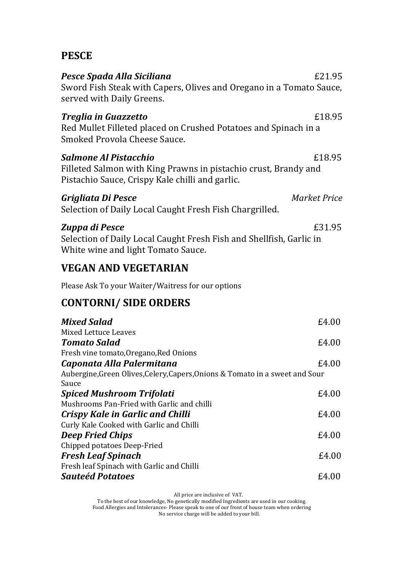## **PESCE**

| Pesce Spada Alla Siciliana<br>Sword Fish Steak with Capers, Olives and Oregano in a Tomato Sauce,<br>served with Daily Greens.                      | £21.95              |
|-----------------------------------------------------------------------------------------------------------------------------------------------------|---------------------|
| <b>Treglia in Guazzetto</b><br>Red Mullet Filleted placed on Crushed Potatoes and Spinach in a<br>Smoked Provola Cheese Sauce.                      | £18.95              |
| Salmone Al Pistacchio<br>Filleted Salmon with King Prawns in pistachio crust, Brandy and<br>Pistachio Sauce, Crispy Kale chilli and garlic.         | £18.95              |
| Grigliata Di Pesce<br>Selection of Daily Local Caught Fresh Fish Chargrilled.                                                                       | <b>Market Price</b> |
| Zuppa di Pesce<br>Selection of Daily Local Caught Fresh Fish and Shellfish, Garlic in<br>White wine and light Tomato Sauce.                         | £31.95              |
| <b>VEGAN AND VEGETARIAN</b>                                                                                                                         |                     |
| Please Ask To your Waiter/Waitress for our options                                                                                                  |                     |
| <b>CONTORNI/ SIDE ORDERS</b>                                                                                                                        |                     |
| <b>Mixed Salad</b><br><b>Mixed Lettuce Leaves</b><br><b>Tomato Salad</b>                                                                            | £4.00<br>£4.00      |
| Fresh vine tomato, Oregano, Red Onions<br>Caponata Alla Palermitana<br>Aubergine, Green Olives, Celery, Capers, Onions & Tomato in a sweet and Sour | £4.00               |
| Sauce<br><b>Spiced Mushroom Trifolati</b>                                                                                                           | £4.00               |
| Mushrooms Pan-Fried with Garlic and chilli<br><b>Crispy Kale in Garlic and Chilli</b><br>Curly Kale Cooked with Garlic and Chilli                   | £4.00               |
| <b>Deep Fried Chips</b>                                                                                                                             | £4.00               |
| Chipped potatoes Deep-Fried<br><b>Fresh Leaf Spinach</b><br>Fresh leaf Spinach with Garlic and Chilli                                               | £4.00               |
| <b>Sauteéd Potatoes</b>                                                                                                                             | £4.00               |
| All price are inclusive of VAT.<br>To the best of our knowledge, No genetically modified Ingredients are used in our cooking.                       |                     |

Food Allergies and Intolerances- Please speak to one of our front of house team when ordering No service charge will be added to your bill.